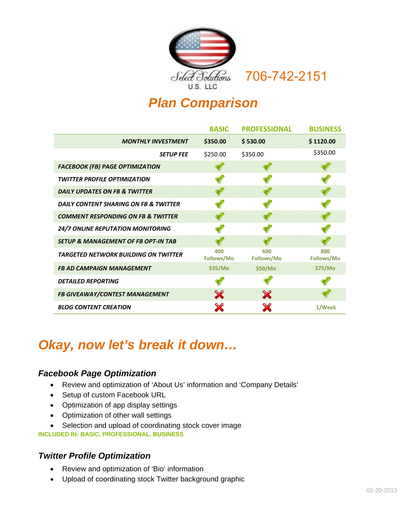

# 706-742-2151

# *Plan Comparison*

|                                                | <b>BASIC</b>      | <b>PROFESSIONAL</b> | <b>BUSINESS</b>   |
|------------------------------------------------|-------------------|---------------------|-------------------|
| <b>MONTHLY INVESTMENT</b>                      | \$350.00          | \$530.00            | \$1120.00         |
| <b>SETUP FEE</b>                               | \$250.00          | \$350.00            | \$350.00          |
| <b>FACEBOOK (FB) PAGE OPTIMIZATION</b>         |                   |                     |                   |
| <b>TWITTER PROFILE OPTIMIZATION</b>            |                   |                     |                   |
| DAILY UPDATES ON FB & TWITTER                  |                   |                     |                   |
| DAILY CONTENT SHARING ON FB & TWITTER          |                   |                     |                   |
| <b>COMMENT RESPONDING ON FB &amp; TWITTER</b>  |                   |                     |                   |
| 24/7 ONLINE REPUTATION MONITORING              |                   |                     |                   |
| <b>SETUP &amp; MANAGEMENT OF FB OPT-IN TAB</b> |                   |                     |                   |
| <b>TARGETED NETWORK BUILDING ON TWITTER</b>    | 400<br>Follows/Mo | 600<br>Follows/Mo   | 800<br>Follows/Mo |
| <b>FB AD CAMPAIGN MANAGEMENT</b>               | \$35/Mo           | \$50/Mo             | \$75/Mo           |
| <b>DETAILED REPORTING</b>                      |                   |                     |                   |
| FB GIVEAWAY/CONTEST MANAGEMENT                 | X                 | X                   |                   |
| <b>BLOG CONTENT CREATION</b>                   | X                 |                     | 1/Week            |

# *Okay, now let's break it down…*

#### *Facebook Page Optimization*

- Review and optimization of 'About Us' information and 'Company Details'
- Setup of custom Facebook URL
- Optimization of app display settings
- Optimization of other wall settings
- Selection and upload of coordinating stock cover image

**INCLUDED IN: BASIC, PROFESSIONAL, BUSINESS** 

#### *Twitter Profile Optimization*

- Review and optimization of 'Bio' information
- Upload of coordinating stock Twitter background graphic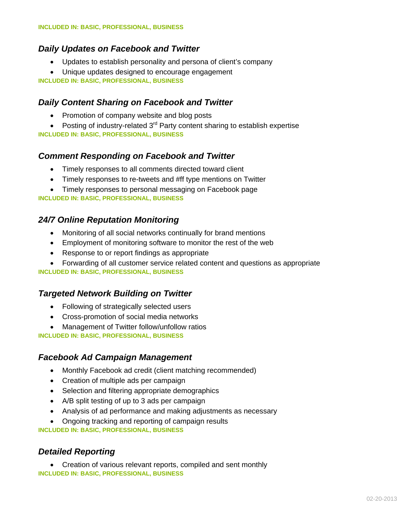### *Daily Updates on Facebook and Twitter*

- Updates to establish personality and persona of client's company
- Unique updates designed to encourage engagement

**INCLUDED IN: BASIC, PROFESSIONAL, BUSINESS**

#### *Daily Content Sharing on Facebook and Twitter*

- Promotion of company website and blog posts
- Posting of industry-related  $3<sup>rd</sup>$  Party content sharing to establish expertise **INCLUDED IN: BASIC, PROFESSIONAL, BUSINESS**

#### *Comment Responding on Facebook and Twitter*

- Timely responses to all comments directed toward client
- Timely responses to re-tweets and #ff type mentions on Twitter
- Timely responses to personal messaging on Facebook page

**INCLUDED IN: BASIC, PROFESSIONAL, BUSINESS**

#### *24/7 Online Reputation Monitoring*

- Monitoring of all social networks continually for brand mentions
- Employment of monitoring software to monitor the rest of the web
- Response to or report findings as appropriate
- Forwarding of all customer service related content and questions as appropriate

#### **INCLUDED IN: BASIC, PROFESSIONAL, BUSINESS**

#### *Targeted Network Building on Twitter*

- Following of strategically selected users
- Cross-promotion of social media networks
- Management of Twitter follow/unfollow ratios

**INCLUDED IN: BASIC, PROFESSIONAL, BUSINESS**

#### *Facebook Ad Campaign Management*

- Monthly Facebook ad credit (client matching recommended)
- Creation of multiple ads per campaign
- Selection and filtering appropriate demographics
- A/B split testing of up to 3 ads per campaign
- Analysis of ad performance and making adjustments as necessary
- Ongoing tracking and reporting of campaign results

**INCLUDED IN: BASIC, PROFESSIONAL, BUSINESS**

#### *Detailed Reporting*

• Creation of various relevant reports, compiled and sent monthly **INCLUDED IN: BASIC, PROFESSIONAL, BUSINESS**